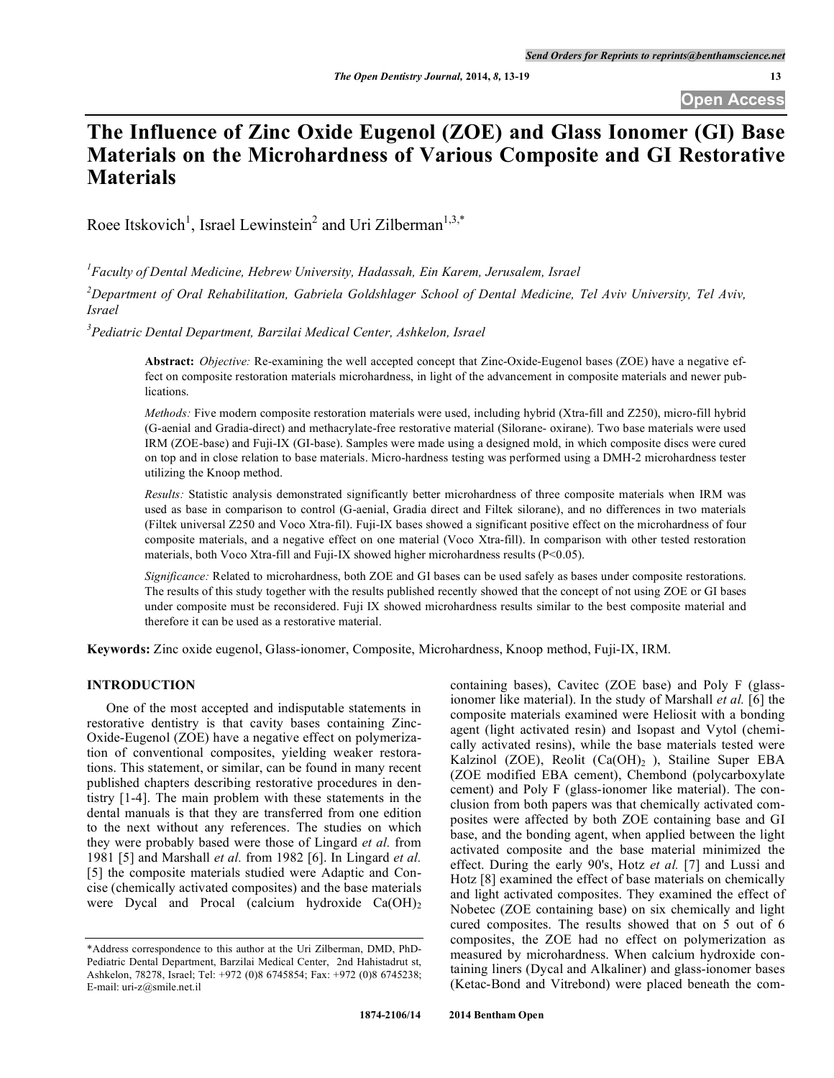# **The Influence of Zinc Oxide Eugenol (ZOE) and Glass Ionomer (GI) Base Materials on the Microhardness of Various Composite and GI Restorative Materials**

Roee Itskovich<sup>1</sup>, Israel Lewinstein<sup>2</sup> and Uri Zilberman<sup>1,3,\*</sup>

*1 Faculty of Dental Medicine, Hebrew University, Hadassah, Ein Karem, Jerusalem, Israel*

 $^{2}$ Department of Oral Rehabilitation, Gabriela Goldshlager School of Dental Medicine, Tel Aviv University, Tel Aviv, *Israel*

*3 Pediatric Dental Department, Barzilai Medical Center, Ashkelon, Israel*

**Abstract:** *Objective:* Re-examining the well accepted concept that Zinc-Oxide-Eugenol bases (ZOE) have a negative effect on composite restoration materials microhardness, in light of the advancement in composite materials and newer publications.

*Methods:* Five modern composite restoration materials were used, including hybrid (Xtra-fill and Z250), micro-fill hybrid (G-aenial and Gradia-direct) and methacrylate-free restorative material (Silorane- oxirane). Two base materials were used IRM (ZOE-base) and Fuji-IX (GI-base). Samples were made using a designed mold, in which composite discs were cured on top and in close relation to base materials. Micro-hardness testing was performed using a DMH-2 microhardness tester utilizing the Knoop method.

*Results:* Statistic analysis demonstrated significantly better microhardness of three composite materials when IRM was used as base in comparison to control (G-aenial, Gradia direct and Filtek silorane), and no differences in two materials (Filtek universal Z250 and Voco Xtra-fil). Fuji-IX bases showed a significant positive effect on the microhardness of four composite materials, and a negative effect on one material (Voco Xtra-fill). In comparison with other tested restoration materials, both Voco Xtra-fill and Fuji-IX showed higher microhardness results (P<0.05).

*Significance:* Related to microhardness, both ZOE and GI bases can be used safely as bases under composite restorations. The results of this study together with the results published recently showed that the concept of not using ZOE or GI bases under composite must be reconsidered. Fuji IX showed microhardness results similar to the best composite material and therefore it can be used as a restorative material.

**Keywords:** Zinc oxide eugenol, Glass-ionomer, Composite, Microhardness, Knoop method, Fuji-IX, IRM.

## **INTRODUCTION**

One of the most accepted and indisputable statements in restorative dentistry is that cavity bases containing Zinc-Oxide-Eugenol (ZOE) have a negative effect on polymerization of conventional composites, yielding weaker restorations. This statement, or similar, can be found in many recent published chapters describing restorative procedures in dentistry [1-4]. The main problem with these statements in the dental manuals is that they are transferred from one edition to the next without any references. The studies on which they were probably based were those of Lingard *et al.* from 1981 [5] and Marshall *et al.* from 1982 [6]. In Lingard *et al.* [5] the composite materials studied were Adaptic and Concise (chemically activated composites) and the base materials were Dycal and Procal (calcium hydroxide  $Ca(OH)_2$ )

containing bases), Cavitec (ZOE base) and Poly F (glassionomer like material). In the study of Marshall *et al.* [6] the composite materials examined were Heliosit with a bonding agent (light activated resin) and Isopast and Vytol (chemically activated resins), while the base materials tested were Kalzinol (ZOE), Reolit  $(Ca(OH)_2)$ , Stailine Super EBA (ZOE modified EBA cement), Chembond (polycarboxylate cement) and Poly F (glass-ionomer like material). The conclusion from both papers was that chemically activated composites were affected by both ZOE containing base and GI base, and the bonding agent, when applied between the light activated composite and the base material minimized the effect. During the early 90's, Hotz *et al.* [7] and Lussi and Hotz [8] examined the effect of base materials on chemically and light activated composites. They examined the effect of Nobetec (ZOE containing base) on six chemically and light cured composites. The results showed that on 5 out of 6 composites, the ZOE had no effect on polymerization as measured by microhardness. When calcium hydroxide containing liners (Dycal and Alkaliner) and glass-ionomer bases (Ketac-Bond and Vitrebond) were placed beneath the com-

<sup>\*</sup>Address correspondence to this author at the Uri Zilberman, DMD, PhD-Pediatric Dental Department, Barzilai Medical Center, 2nd Hahistadrut st, Ashkelon, 78278, Israel; Tel: +972 (0)8 6745854; Fax: +972 (0)8 6745238; E-mail: uri-z@smile.net.il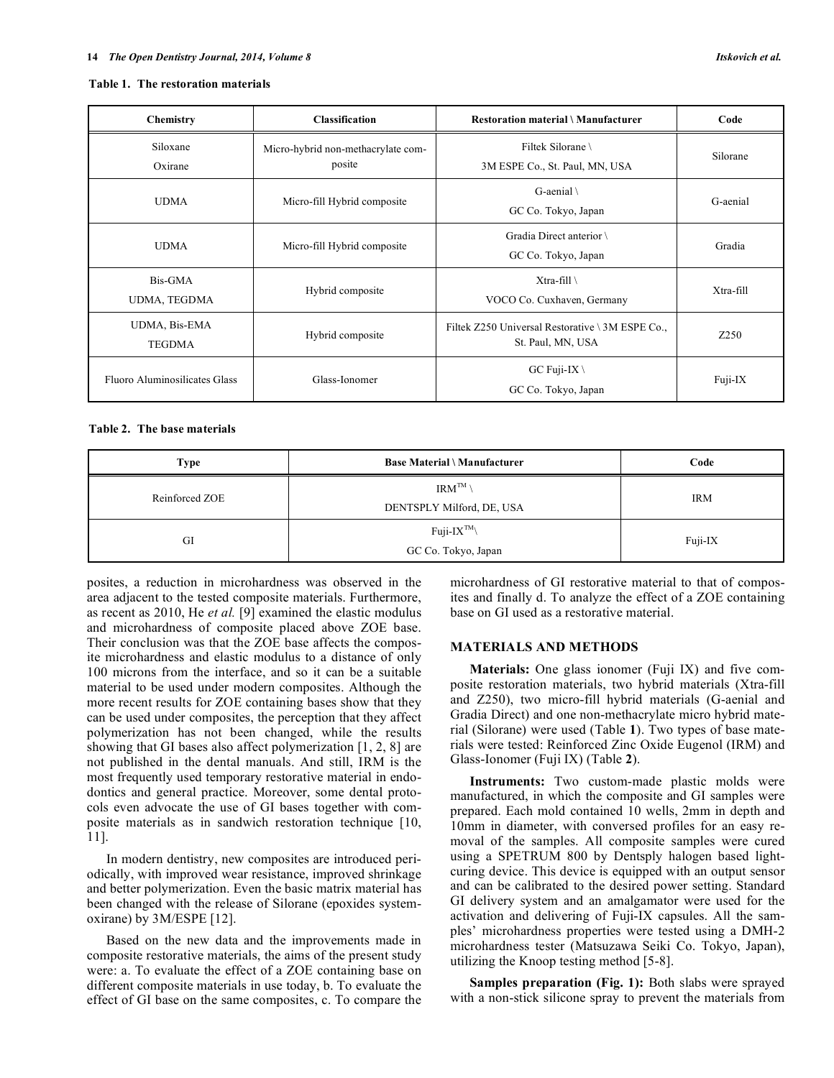#### **Table 1. The restoration materials**

| <b>Chemistry</b>               | <b>Classification</b>                        | <b>Restoration material \ Manufacturer</b>                            | Code      |
|--------------------------------|----------------------------------------------|-----------------------------------------------------------------------|-----------|
| Siloxane<br>Oxirane            | Micro-hybrid non-methacrylate com-<br>posite | Filtek Silorane<br>3M ESPE Co., St. Paul, MN, USA                     | Silorane  |
| <b>UDMA</b>                    | Micro-fill Hybrid composite                  | G-aenial \<br>GC Co. Tokyo, Japan                                     | G-aenial  |
| <b>UDMA</b>                    | Micro-fill Hybrid composite                  | Gradia Direct anterior<br>GC Co. Tokyo, Japan                         | Gradia    |
| Bis-GMA<br>UDMA, TEGDMA        | Hybrid composite                             | $X$ tra-fill<br>VOCO Co. Cuxhaven, Germany                            | Xtra-fill |
| UDMA, Bis-EMA<br><b>TEGDMA</b> | Hybrid composite                             | Filtek Z250 Universal Restorative \ 3M ESPE Co.,<br>St. Paul, MN, USA | Z250      |
| Fluoro Aluminosilicates Glass  | Glass-Ionomer                                | GC Fuji-IX \<br>GC Co. Tokyo, Japan                                   | Fuji-IX   |

## **Table 2. The base materials**

| Type           | <b>Base Material \ Manufacturer</b>                   | Code       |
|----------------|-------------------------------------------------------|------------|
| Reinforced ZOE | $\text{IRM}^{\text{TM}}$<br>DENTSPLY Milford, DE, USA | <b>IRM</b> |
| GI             | $Fuii-IX^{TM}$<br>GC Co. Tokyo, Japan                 | Fuji-IX    |

posites, a reduction in microhardness was observed in the area adjacent to the tested composite materials. Furthermore, as recent as 2010, He *et al.* [9] examined the elastic modulus and microhardness of composite placed above ZOE base. Their conclusion was that the ZOE base affects the composite microhardness and elastic modulus to a distance of only 100 microns from the interface, and so it can be a suitable material to be used under modern composites. Although the more recent results for ZOE containing bases show that they can be used under composites, the perception that they affect polymerization has not been changed, while the results showing that GI bases also affect polymerization [1, 2, 8] are not published in the dental manuals. And still, IRM is the most frequently used temporary restorative material in endodontics and general practice. Moreover, some dental protocols even advocate the use of GI bases together with composite materials as in sandwich restoration technique [10, 11].

In modern dentistry, new composites are introduced periodically, with improved wear resistance, improved shrinkage and better polymerization. Even the basic matrix material has been changed with the release of Silorane (epoxides systemoxirane) by 3M/ESPE [12].

Based on the new data and the improvements made in composite restorative materials, the aims of the present study were: a. To evaluate the effect of a ZOE containing base on different composite materials in use today, b. To evaluate the effect of GI base on the same composites, c. To compare the microhardness of GI restorative material to that of composites and finally d. To analyze the effect of a ZOE containing base on GI used as a restorative material.

### **MATERIALS AND METHODS**

**Materials:** One glass ionomer (Fuji IX) and five composite restoration materials, two hybrid materials (Xtra-fill and Z250), two micro-fill hybrid materials (G-aenial and Gradia Direct) and one non-methacrylate micro hybrid material (Silorane) were used (Table **1**). Two types of base materials were tested: Reinforced Zinc Oxide Eugenol (IRM) and Glass-Ionomer (Fuji IX) (Table **2**).

**Instruments:** Two custom-made plastic molds were manufactured, in which the composite and GI samples were prepared. Each mold contained 10 wells, 2mm in depth and 10mm in diameter, with conversed profiles for an easy removal of the samples. All composite samples were cured using a SPETRUM 800 by Dentsply halogen based lightcuring device. This device is equipped with an output sensor and can be calibrated to the desired power setting. Standard GI delivery system and an amalgamator were used for the activation and delivering of Fuji-IX capsules. All the samples' microhardness properties were tested using a DMH-2 microhardness tester (Matsuzawa Seiki Co. Tokyo, Japan), utilizing the Knoop testing method [5-8].

**Samples preparation (Fig. 1):** Both slabs were sprayed with a non-stick silicone spray to prevent the materials from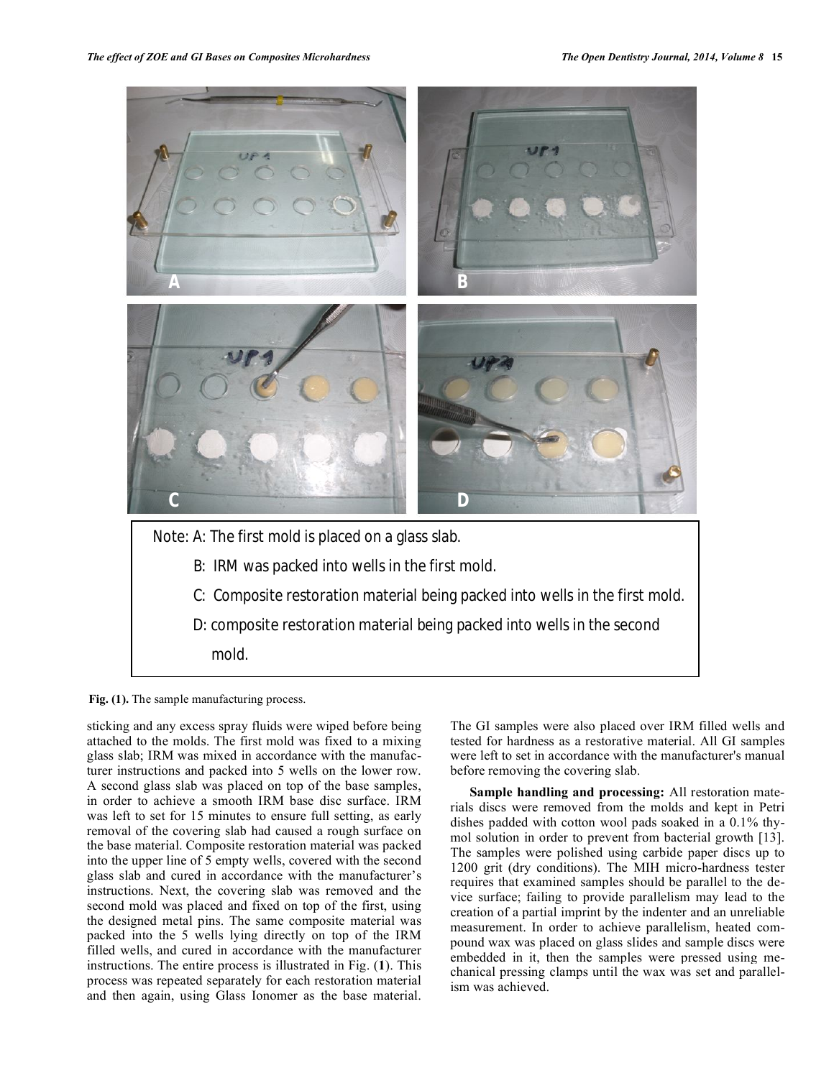

**Fig. (1).** The sample manufacturing process.

sticking and any excess spray fluids were wiped before being attached to the molds. The first mold was fixed to a mixing glass slab; IRM was mixed in accordance with the manufacturer instructions and packed into 5 wells on the lower row. A second glass slab was placed on top of the base samples, in order to achieve a smooth IRM base disc surface. IRM was left to set for 15 minutes to ensure full setting, as early removal of the covering slab had caused a rough surface on the base material. Composite restoration material was packed into the upper line of 5 empty wells, covered with the second glass slab and cured in accordance with the manufacturer's instructions. Next, the covering slab was removed and the second mold was placed and fixed on top of the first, using the designed metal pins. The same composite material was packed into the 5 wells lying directly on top of the IRM filled wells, and cured in accordance with the manufacturer instructions. The entire process is illustrated in Fig. (**1**). This process was repeated separately for each restoration material and then again, using Glass Ionomer as the base material.

The GI samples were also placed over IRM filled wells and tested for hardness as a restorative material. All GI samples were left to set in accordance with the manufacturer's manual before removing the covering slab.

**Sample handling and processing:** All restoration materials discs were removed from the molds and kept in Petri dishes padded with cotton wool pads soaked in a 0.1% thymol solution in order to prevent from bacterial growth [13]. The samples were polished using carbide paper discs up to 1200 grit (dry conditions). The MIH micro-hardness tester requires that examined samples should be parallel to the device surface; failing to provide parallelism may lead to the creation of a partial imprint by the indenter and an unreliable measurement. In order to achieve parallelism, heated compound wax was placed on glass slides and sample discs were embedded in it, then the samples were pressed using mechanical pressing clamps until the wax was set and parallelism was achieved.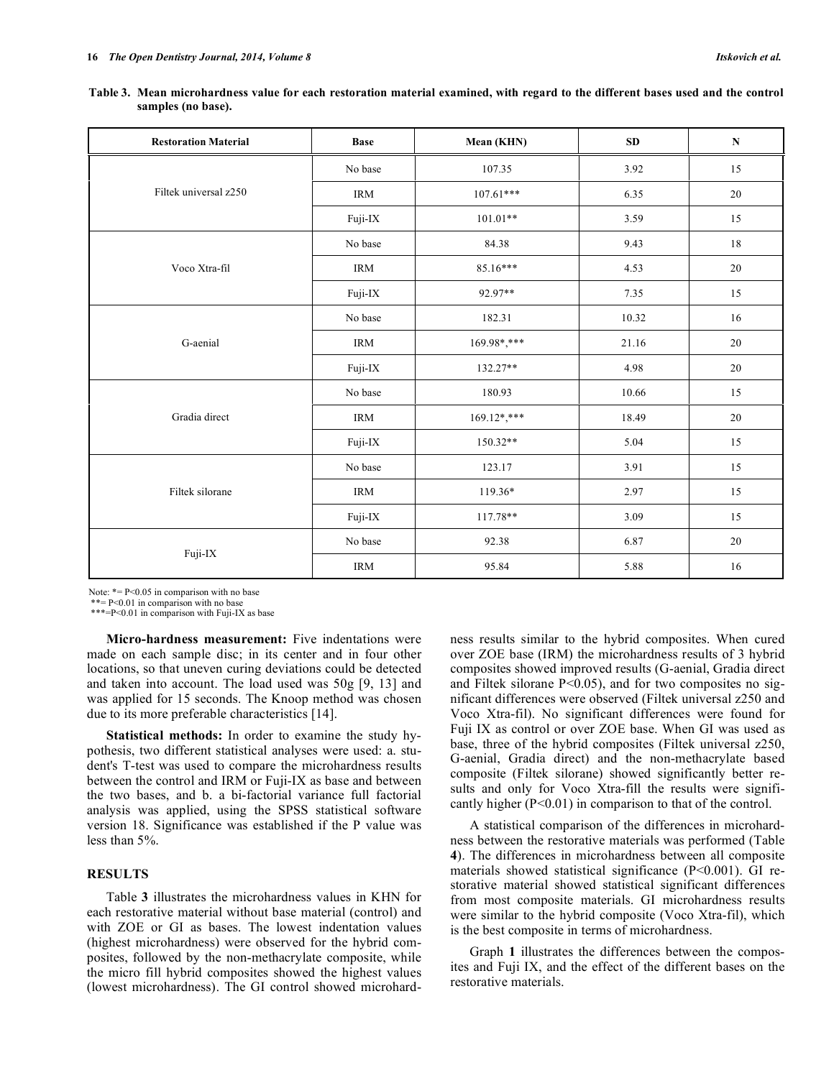| <b>Restoration Material</b> | <b>Base</b> | Mean (KHN)     | $\bf SD$ | ${\bf N}$ |
|-----------------------------|-------------|----------------|----------|-----------|
|                             | No base     | 107.35         | 3.92     | 15        |
| Filtek universal z250       | <b>IRM</b>  | $107.61***$    | 6.35     | $20\,$    |
|                             | Fuji-IX     | $101.01**$     | 3.59     | 15        |
|                             | No base     | 84.38          | 9.43     | 18        |
| Voco Xtra-fil               | <b>IRM</b>  | 85.16***       | 4.53     | $20\,$    |
|                             | Fuji-IX     | 92.97**        | 7.35     | 15        |
|                             | No base     | 182.31         | 10.32    | 16        |
| G-aenial                    | <b>IRM</b>  | 169.98*,***    | 21.16    | $20\,$    |
|                             | Fuji-IX     | 132.27**       | 4.98     | $20\,$    |
|                             | No base     | 180.93         | 10.66    | 15        |
| Gradia direct               | <b>IRM</b>  | $169.12$ *,*** | 18.49    | $20\,$    |
|                             | Fuji-IX     | $150.32**$     | 5.04     | 15        |
|                             | No base     | 123.17         | 3.91     | $15\,$    |
| Filtek silorane             | <b>IRM</b>  | 119.36*        | 2.97     | 15        |
|                             | Fuji-IX     | 117.78**       | 3.09     | 15        |
|                             | No base     | 92.38          | 6.87     | $20\,$    |
| Fuji-IX                     | <b>IRM</b>  | 95.84          | 5.88     | 16        |

Table 3. Mean microhardness value for each restoration material examined, with regard to the different bases used and the control **samples (no base).**

Note:  $*= P<0.05$  in comparison with no base

\*\*= P<0.01 in comparison with no base

\*\*\*=P<0.01 in comparison with Fuji-IX as base

**Micro-hardness measurement:** Five indentations were made on each sample disc; in its center and in four other locations, so that uneven curing deviations could be detected and taken into account. The load used was 50g [9, 13] and was applied for 15 seconds. The Knoop method was chosen due to its more preferable characteristics [14].

**Statistical methods:** In order to examine the study hypothesis, two different statistical analyses were used: a. student's T-test was used to compare the microhardness results between the control and IRM or Fuji-IX as base and between the two bases, and b. a bi-factorial variance full factorial analysis was applied, using the SPSS statistical software version 18. Significance was established if the P value was less than 5%.

## **RESULTS**

Table **3** illustrates the microhardness values in KHN for each restorative material without base material (control) and with ZOE or GI as bases. The lowest indentation values (highest microhardness) were observed for the hybrid composites, followed by the non-methacrylate composite, while the micro fill hybrid composites showed the highest values (lowest microhardness). The GI control showed microhardness results similar to the hybrid composites. When cured over ZOE base (IRM) the microhardness results of 3 hybrid composites showed improved results (G-aenial, Gradia direct and Filtek silorane P<0.05), and for two composites no significant differences were observed (Filtek universal z250 and Voco Xtra-fil). No significant differences were found for Fuji IX as control or over ZOE base. When GI was used as base, three of the hybrid composites (Filtek universal z250, G-aenial, Gradia direct) and the non-methacrylate based composite (Filtek silorane) showed significantly better results and only for Voco Xtra-fill the results were significantly higher (P<0.01) in comparison to that of the control.

A statistical comparison of the differences in microhardness between the restorative materials was performed (Table **4**). The differences in microhardness between all composite materials showed statistical significance (P<0.001). GI restorative material showed statistical significant differences from most composite materials. GI microhardness results were similar to the hybrid composite (Voco Xtra-fil), which is the best composite in terms of microhardness.

Graph **1** illustrates the differences between the composites and Fuji IX, and the effect of the different bases on the restorative materials.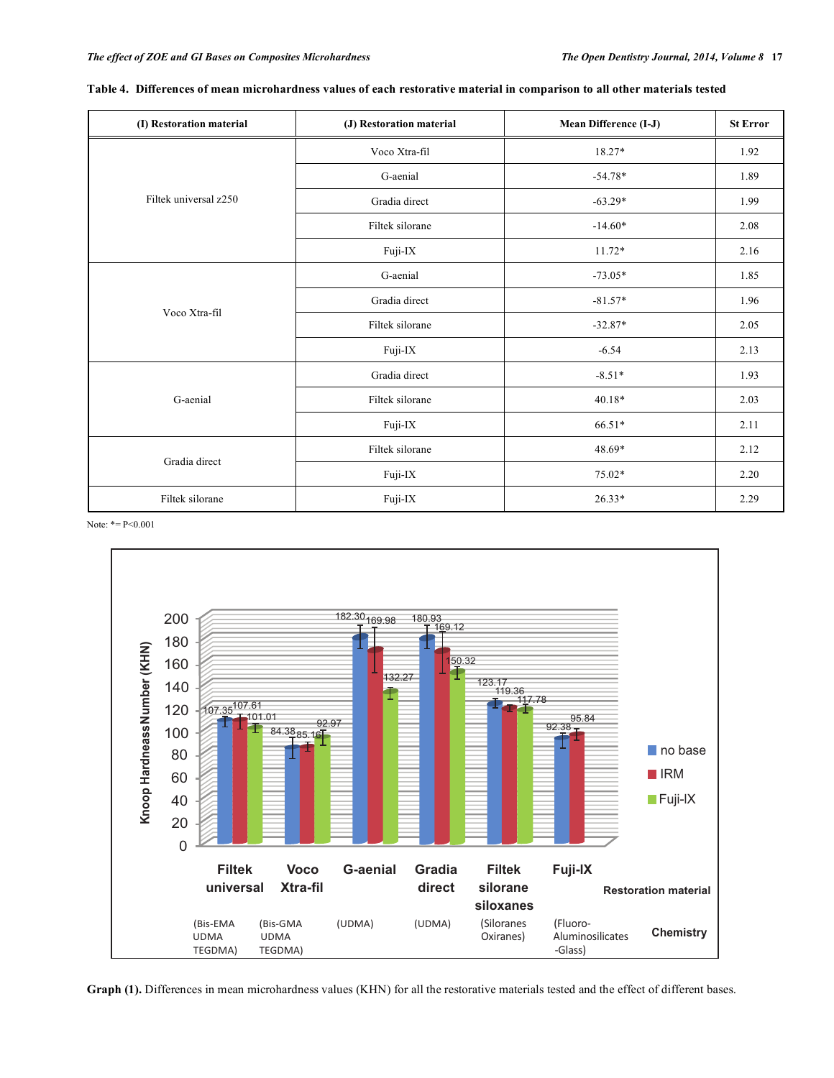| (I) Restoration material | (J) Restoration material | Mean Difference (I-J) | <b>St Error</b> |
|--------------------------|--------------------------|-----------------------|-----------------|
| Filtek universal z250    | Voco Xtra-fil            | 18.27*                | 1.92            |
|                          | G-aenial                 | $-54.78*$             | 1.89            |
|                          | Gradia direct            | $-63.29*$             | 1.99            |
|                          | Filtek silorane          | $-14.60*$             | 2.08            |
|                          | Fuji-IX                  | $11.72*$              | 2.16            |
|                          | G-aenial                 | $-73.05*$             | 1.85            |
| Voco Xtra-fil            | Gradia direct            | $-81.57*$             | 1.96            |
|                          | Filtek silorane          | $-32.87*$             | 2.05            |
|                          | Fuji-IX                  | $-6.54$               | 2.13            |
|                          | Gradia direct            | $-8.51*$              | 1.93            |
| G-aenial                 | Filtek silorane          | $40.18*$              | 2.03            |
|                          | Fuji-IX                  | 66.51*                | 2.11            |
|                          | Filtek silorane          | 48.69*                | 2.12            |
| Gradia direct            | Fuji-IX                  | 75.02*                | 2.20            |
| Filtek silorane          | Fuji-IX                  | $26.33*$              | 2.29            |

## **Table 4. Differences of mean microhardness values of each restorative material in comparison to all other materials tested**

Note: \*= P<0.001



**Graph (1).** Differences in mean microhardness values (KHN) for all the restorative materials tested and the effect of different bases.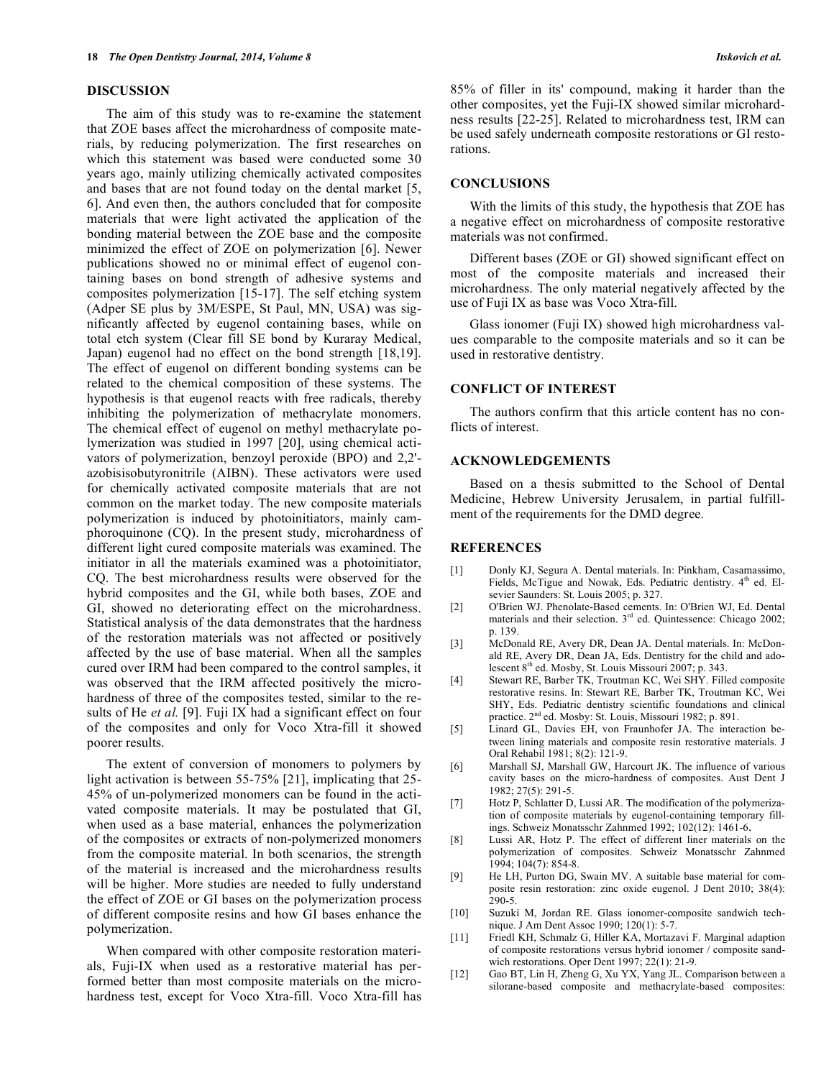## **DISCUSSION**

The aim of this study was to re-examine the statement that ZOE bases affect the microhardness of composite materials, by reducing polymerization. The first researches on which this statement was based were conducted some 30 years ago, mainly utilizing chemically activated composites and bases that are not found today on the dental market [5, 6]. And even then, the authors concluded that for composite materials that were light activated the application of the bonding material between the ZOE base and the composite minimized the effect of ZOE on polymerization [6]. Newer publications showed no or minimal effect of eugenol containing bases on bond strength of adhesive systems and composites polymerization [15-17]. The self etching system (Adper SE plus by 3M/ESPE, St Paul, MN, USA) was significantly affected by eugenol containing bases, while on total etch system (Clear fill SE bond by Kuraray Medical, Japan) eugenol had no effect on the bond strength [18,19]. The effect of eugenol on different bonding systems can be related to the chemical composition of these systems. The hypothesis is that eugenol reacts with free radicals, thereby inhibiting the polymerization of methacrylate monomers. The chemical effect of eugenol on methyl methacrylate polymerization was studied in 1997 [20], using chemical activators of polymerization, benzoyl peroxide (BPO) and 2,2' azobisisobutyronitrile (AIBN). These activators were used for chemically activated composite materials that are not common on the market today. The new composite materials polymerization is induced by photoinitiators, mainly camphoroquinone (CQ). In the present study, microhardness of different light cured composite materials was examined. The initiator in all the materials examined was a photoinitiator, CQ. The best microhardness results were observed for the hybrid composites and the GI, while both bases, ZOE and GI, showed no deteriorating effect on the microhardness. Statistical analysis of the data demonstrates that the hardness of the restoration materials was not affected or positively affected by the use of base material. When all the samples cured over IRM had been compared to the control samples, it was observed that the IRM affected positively the microhardness of three of the composites tested, similar to the results of He *et al.* [9]. Fuji IX had a significant effect on four of the composites and only for Voco Xtra-fill it showed poorer results.

The extent of conversion of monomers to polymers by light activation is between 55-75% [21], implicating that 25-45% of un-polymerized monomers can be found in the activated composite materials. It may be postulated that GI, when used as a base material, enhances the polymerization of the composites or extracts of non-polymerized monomers from the composite material. In both scenarios, the strength of the material is increased and the microhardness results will be higher. More studies are needed to fully understand the effect of ZOE or GI bases on the polymerization process of different composite resins and how GI bases enhance the polymerization.

When compared with other composite restoration materials, Fuji-IX when used as a restorative material has performed better than most composite materials on the microhardness test, except for Voco Xtra-fill. Voco Xtra-fill has 85% of filler in its' compound, making it harder than the other composites, yet the Fuji-IX showed similar microhardness results [22-25]. Related to microhardness test, IRM can be used safely underneath composite restorations or GI restorations.

## **CONCLUSIONS**

With the limits of this study, the hypothesis that ZOE has a negative effect on microhardness of composite restorative materials was not confirmed.

Different bases (ZOE or GI) showed significant effect on most of the composite materials and increased their microhardness. The only material negatively affected by the use of Fuji IX as base was Voco Xtra-fill.

Glass ionomer (Fuji IX) showed high microhardness values comparable to the composite materials and so it can be used in restorative dentistry.

## **CONFLICT OF INTEREST**

The authors confirm that this article content has no conflicts of interest.

### **ACKNOWLEDGEMENTS**

Based on a thesis submitted to the School of Dental Medicine, Hebrew University Jerusalem, in partial fulfillment of the requirements for the DMD degree.

## **REFERENCES**

- [1] Donly KJ, Segura A. Dental materials. In: Pinkham, Casamassimo, Fields, McTigue and Nowak, Eds. Pediatric dentistry.  $4<sup>th</sup>$  ed. Elsevier Saunders: St. Louis 2005; p. 327.
- [2] O'Brien WJ. Phenolate-Based cements. In: O'Brien WJ, Ed. Dental materials and their selection.  $3<sup>rd</sup>$  ed. Quintessence: Chicago 2002; p. 139.
- [3] McDonald RE, Avery DR, Dean JA. Dental materials. In: McDonald RE, Avery DR, Dean JA, Eds. Dentistry for the child and adolescent 8th ed. Mosby, St. Louis Missouri 2007; p. 343.
- [4] Stewart RE, Barber TK, Troutman KC, Wei SHY. Filled composite restorative resins. In: Stewart RE, Barber TK, Troutman KC, Wei SHY, Eds. Pediatric dentistry scientific foundations and clinical practice. 2<sup>nd</sup> ed. Mosby: St. Louis, Missouri 1982; p. 891.
- [5] Linard GL, Davies EH, von Fraunhofer JA. The interaction between lining materials and composite resin restorative materials. J Oral Rehabil 1981; 8(2): 121-9.
- [6] Marshall SJ, Marshall GW, Harcourt JK. The influence of various cavity bases on the micro-hardness of composites. Aust Dent J 1982; 27(5): 291-5.
- [7] Hotz P, Schlatter D, Lussi AR. The modification of the polymerization of composite materials by eugenol-containing temporary fillings. Schweiz Monatsschr Zahnmed 1992; 102(12): 1461-6.
- [8] Lussi AR, Hotz P. The effect of different liner materials on the polymerization of composites. Schweiz Monatsschr Zahnmed 1994; 104(7): 854-8.
- [9] He LH, Purton DG, Swain MV. A suitable base material for composite resin restoration: zinc oxide eugenol. J Dent 2010; 38(4): 290-5.
- [10] Suzuki M, Jordan RE. Glass ionomer-composite sandwich technique. J Am Dent Assoc 1990; 120(1): 5-7.
- [11] Friedl KH, Schmalz G, Hiller KA, Mortazavi F. Marginal adaption of composite restorations versus hybrid ionomer / composite sandwich restorations. Oper Dent 1997; 22(1): 21-9.
- [12] Gao BT, Lin H, Zheng G, Xu YX, Yang JL. Comparison between a silorane-based composite and methacrylate-based composites: